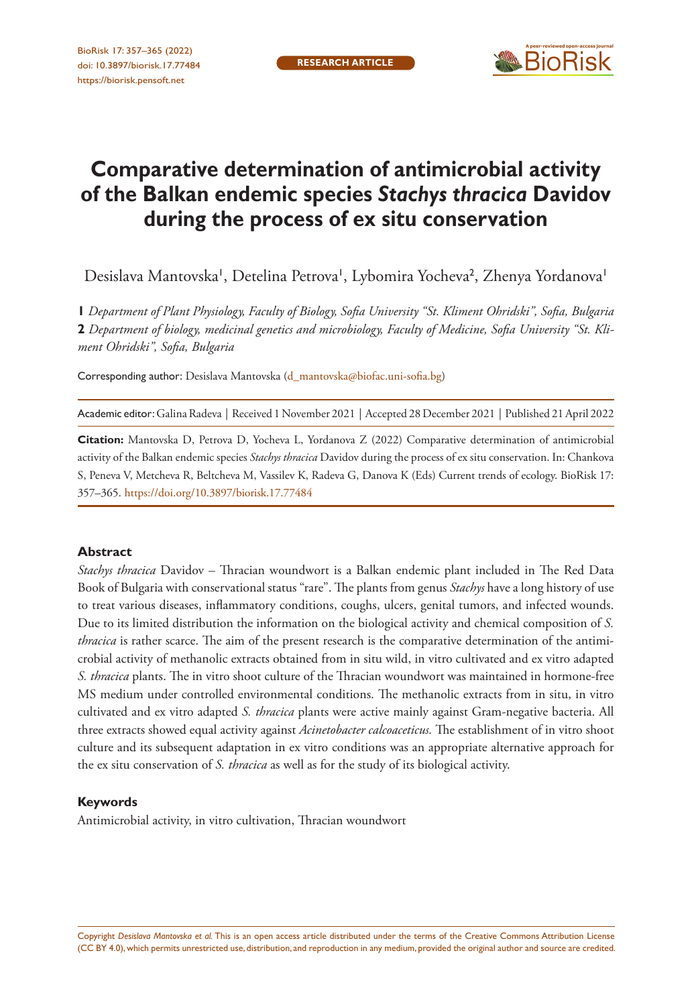

# **Comparative determination of antimicrobial activity of the Balkan endemic species** *Stachys thracica* **Davidov during the process of ex situ conservation**

Desislava Mantovska', Detelina Petrova', Lybomira Yocheva<sup>2</sup>, Zhenya Yordanova'

**1** *Department of Plant Physiology, Faculty of Biology, Sofia University "St. Kliment Ohridski", Sofia, Bulgaria*  **2** *Department of biology, medicinal genetics and microbiology, Faculty of Medicine, Sofia University "St. Kliment Ohridski", Sofia, Bulgaria*

Corresponding author: Desislava Mantovska [\(d\\_mantovska@biofac.uni-sofia.bg\)](mailto:d_mantovska@biofac.uni-sofia.bg)

Academic editor: Galina Radeva | Received 1 November 2021 | Accepted 28 December 2021 | Published 21 April 2022

**Citation:** Mantovska D, Petrova D, Yocheva L, Yordanova Z (2022) Comparative determination of antimicrobial activity of the Balkan endemic species *Stachys thracica* Davidov during the process of ex situ conservation. In: Chankova S, Peneva V, Metcheva R, Beltcheva M, Vassilev K, Radeva G, Danova K (Eds) Current trends of ecology. BioRisk 17: 357–365.<https://doi.org/10.3897/biorisk.17.77484>

#### **Abstract**

*Stachys thracica* Davidov – Thracian woundwort is a Balkan endemic plant included in The Red Data Book of Bulgaria with conservational status "rare". The plants from genus *Stachys* have a long history of use to treat various diseases, inflammatory conditions, coughs, ulcers, genital tumors, and infected wounds. Due to its limited distribution the information on the biological activity and chemical composition of *S. thracica* is rather scarce. The aim of the present research is the comparative determination of the antimicrobial activity of methanolic extracts obtained from in situ wild, in vitro cultivated and ex vitro adapted *S. thracica* plants. The in vitro shoot culture of the Thracian woundwort was maintained in hormone-free MS medium under controlled environmental conditions. The methanolic extracts from in situ, in vitro cultivated and ex vitro adapted *S. thracica* plants were active mainly against Gram-negative bacteria. All three extracts showed equal activity against *Acinetobacter calcoaceticus.* The establishment of in vitro shoot culture and its subsequent adaptation in ex vitro conditions was an appropriate alternative approach for the ex situ conservation of *S. thracica* as well as for the study of its biological activity.

#### **Keywords**

Antimicrobial activity, in vitro cultivation, Thracian woundwort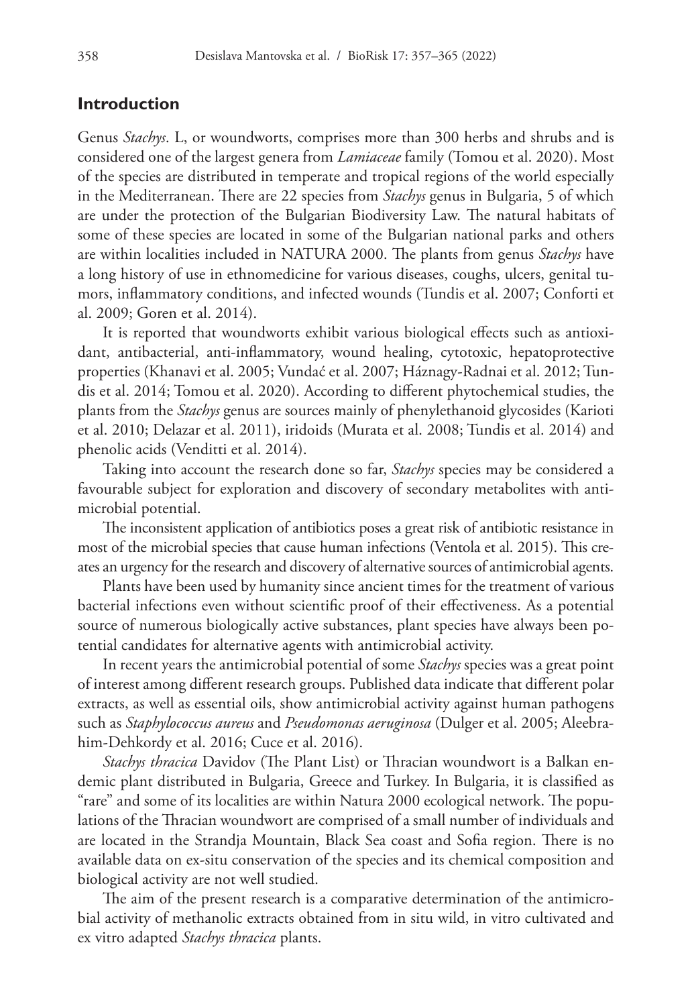## **Introduction**

Genus *Stachys*. L, or woundworts, comprises more than 300 herbs and shrubs and is considered one of the largest genera from *Lamiaceae* family (Tomou et al. 2020). Most of the species are distributed in temperate and tropical regions of the world especially in the Mediterranean. There are 22 species from *Stachys* genus in Bulgaria, 5 of which are under the protection of the Bulgarian Biodiversity Law. The natural habitats of some of these species are located in some of the Bulgarian national parks and others are within localities included in NATURA 2000. The plants from genus *Stachys* have a long history of use in ethnomedicine for various diseases, coughs, ulcers, genital tumors, inflammatory conditions, and infected wounds (Tundis et al. 2007; Conforti et al. 2009; Goren et al. 2014).

It is reported that woundworts exhibit various biological effects such as antioxidant, antibacterial, anti-inflammatory, wound healing, cytotoxic, hepatoprotective properties (Khanavi et al. 2005; Vundać et al. 2007; Háznagy-Radnai et al. 2012; Tundis et al. 2014; Tomou et al. 2020). According to different phytochemical studies, the plants from the *Stachys* genus are sources mainly of phenylethanoid glycosides (Karioti et al. 2010; Delazar et al. 2011), iridoids (Murata et al. 2008; Tundis et al. 2014) and phenolic acids (Venditti et al. 2014).

Taking into account the research done so far, *Stachys* species may be considered a favourable subject for exploration and discovery of secondary metabolites with antimicrobial potential.

The inconsistent application of antibiotics poses a great risk of antibiotic resistance in most of the microbial species that cause human infections (Ventola et al. 2015). This creates an urgency for the research and discovery of alternative sources of antimicrobial agents.

Plants have been used by humanity since ancient times for the treatment of various bacterial infections even without scientific proof of their effectiveness. As a potential source of numerous biologically active substances, plant species have always been potential candidates for alternative agents with antimicrobial activity.

In recent years the antimicrobial potential of some *Stachys* species was a great point of interest among different research groups. Published data indicate that different polar extracts, as well as essential oils, show antimicrobial activity against human pathogens such as *Staphylococcus aureus* and *Pseudomonas aeruginosa* (Dulger et al. 2005; Aleebrahim-Dehkordy et al. 2016; Cuce et al. 2016).

*Stachys thracica* Davidov (The Plant List) or Thracian woundwort is a Balkan endemic plant distributed in Bulgaria, Greece and Turkey. In Bulgaria, it is classified as "rare" and some of its localities are within Natura 2000 ecological network. The populations of the Thracian woundwort are comprised of a small number of individuals and are located in the Strandja Mountain, Black Sea coast and Sofia region. There is no available data on ex-situ conservation of the species and its chemical composition and biological activity are not well studied.

The aim of the present research is a comparative determination of the antimicrobial activity of methanolic extracts obtained from in situ wild, in vitro cultivated and ex vitro adapted *Stachys thracica* plants.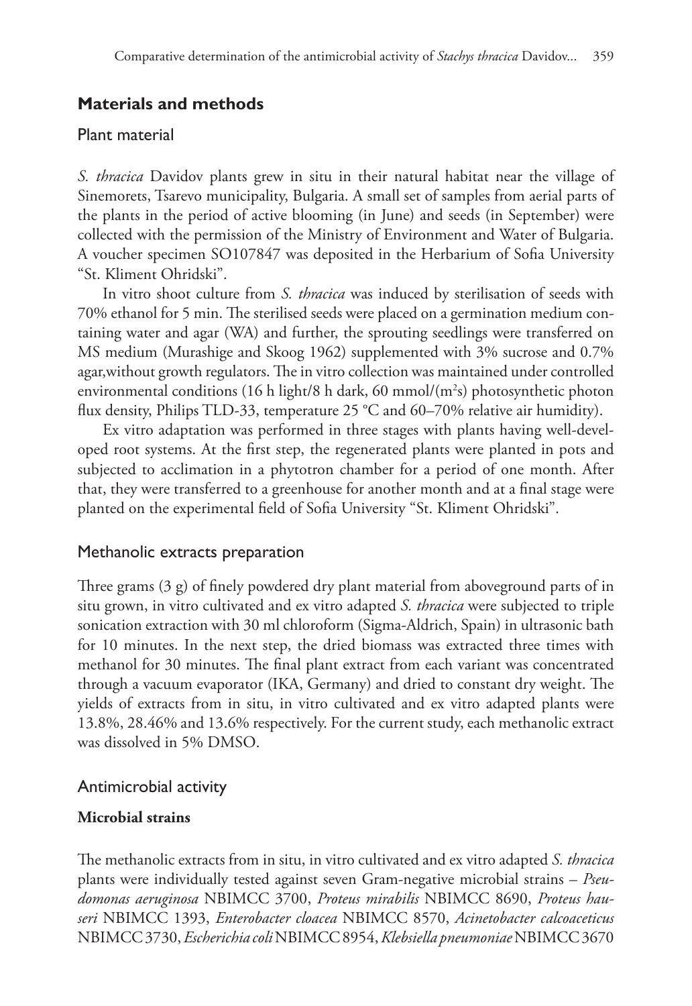# **Materials and methods**

## Plant material

*S. thracica* Davidov plants grew in situ in their natural habitat near the village of Sinemorets, Tsarevo municipality, Bulgaria. A small set of samples from aerial parts of the plants in the period of active blooming (in June) and seeds (in September) were collected with the permission of the Ministry of Environment and Water of Bulgaria. A voucher specimen SO107847 was deposited in the Herbarium of Sofia University "St. Kliment Ohridski".

In vitro shoot culture from *S. thracica* was induced by sterilisation of seeds with 70% ethanol for 5 min. The sterilised seeds were placed on a germination medium containing water and agar (WA) and further, the sprouting seedlings were transferred on MS medium (Murashige and Skoog 1962) supplemented with 3% sucrose and 0.7% agar,without growth regulators. The in vitro collection was maintained under controlled environmental conditions (16 h light/8 h dark, 60 mmol/(m<sup>2</sup>s) photosynthetic photon flux density, Philips TLD-33, temperature 25 °C and 60–70% relative air humidity).

Ex vitro adaptation was performed in three stages with plants having well-developed root systems. At the first step, the regenerated plants were planted in pots and subjected to acclimation in a phytotron chamber for a period of one month. After that, they were transferred to a greenhouse for another month and at a final stage were planted on the experimental field of Sofia University "St. Kliment Ohridski".

#### Methanolic extracts preparation

Three grams (3 g) of finely powdered dry plant material from aboveground parts of in situ grown, in vitro cultivated and ex vitro adapted *S. thracica* were subjected to triple sonication extraction with 30 ml chloroform (Sigma-Aldrich, Spain) in ultrasonic bath for 10 minutes. In the next step, the dried biomass was extracted three times with methanol for 30 minutes. The final plant extract from each variant was concentrated through a vacuum evaporator (IKA, Germany) and dried to constant dry weight. The yields of extracts from in situ, in vitro cultivated and ex vitro adapted plants were 13.8%, 28.46% and 13.6% respectively. For the current study, each methanolic extract was dissolved in 5% DMSO.

## Antimicrobial activity

## **Microbial strains**

The methanolic extracts from in situ, in vitro cultivated and ex vitro adapted *S. thracica* plants were individually tested against seven Gram-negative microbial strains – *Pseudomonas aeruginosa* NBIMCC 3700, *Proteus mirabilis* NBIMCC 8690, *Proteus hauseri* NBIMCC 1393, *Enterobacter cloacea* NBIMCC 8570, *Acinetobacter calcoaceticus* NBIMCC 3730, *Escherichia coli* NBIMCC 8954, *Klebsiella pneumoniae* NBIMCC 3670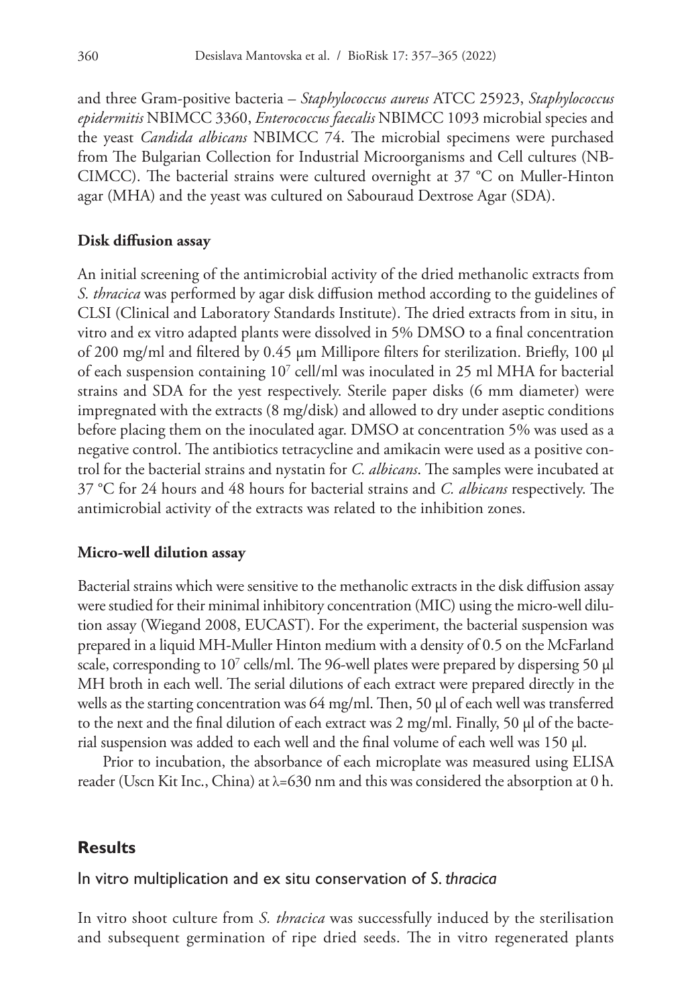and three Gram-positive bacteria – *Staphylococcus aureus* ATCC 25923, *Staphylococcus epidermitis* NBIMCC 3360, *Enterococcus faecalis* NBIMCC 1093 microbial species and the yeast *Candida albicans* NBIMCC 74. The microbial specimens were purchased from The Bulgarian Collection for Industrial Microorganisms and Cell cultures (NB-CIMCC). The bacterial strains were cultured overnight at 37 °C on Muller-Hinton agar (MHA) and the yeast was cultured on Sabouraud Dextrose Agar (SDA).

#### **Disk diffusion assay**

An initial screening of the antimicrobial activity of the dried methanolic extracts from *S. thracica* was performed by agar disk diffusion method according to the guidelines of CLSI (Clinical and Laboratory Standards Institute). The dried extracts from in situ, in vitro and ex vitro adapted plants were dissolved in 5% DMSO to a final concentration of 200 mg/ml and filtered by 0.45 µm Millipore filters for sterilization. Briefly, 100 µl of each suspension containing 107 cell/ml was inoculated in 25 ml MHA for bacterial strains and SDA for the yest respectively. Sterile paper disks (6 mm diameter) were impregnated with the extracts (8 mg/disk) and allowed to dry under aseptic conditions before placing them on the inoculated agar. DMSO at concentration 5% was used as a negative control. The antibiotics tetracycline and amikacin were used as a positive control for the bacterial strains and nystatin for *C. albicans*. The samples were incubated at 37 °C for 24 hours and 48 hours for bacterial strains and *C. albicans* respectively. The antimicrobial activity of the extracts was related to the inhibition zones.

#### **Micro-well dilution assay**

Bacterial strains which were sensitive to the methanolic extracts in the disk diffusion assay were studied for their minimal inhibitory concentration (MIC) using the micro-well dilution assay (Wiegand 2008, EUCAST). For the experiment, the bacterial suspension was prepared in a liquid MH-Muller Hinton medium with a density of 0.5 on the McFarland scale, corresponding to  $10^7$  cells/ml. The 96-well plates were prepared by dispersing 50  $\mu$ l MH broth in each well. The serial dilutions of each extract were prepared directly in the wells as the starting concentration was 64 mg/ml. Then, 50 µl of each well was transferred to the next and the final dilution of each extract was 2 mg/ml. Finally, 50 µl of the bacterial suspension was added to each well and the final volume of each well was 150 µl.

Prior to incubation, the absorbance of each microplate was measured using ELISA reader (Uscn Kit Inc., China) at  $\lambda$ =630 nm and this was considered the absorption at 0 h.

## **Results**

#### In vitro multiplication and ex situ conservation of *S. thracica*

In vitro shoot culture from *S. thracica* was successfully induced by the sterilisation and subsequent germination of ripe dried seeds. The in vitro regenerated plants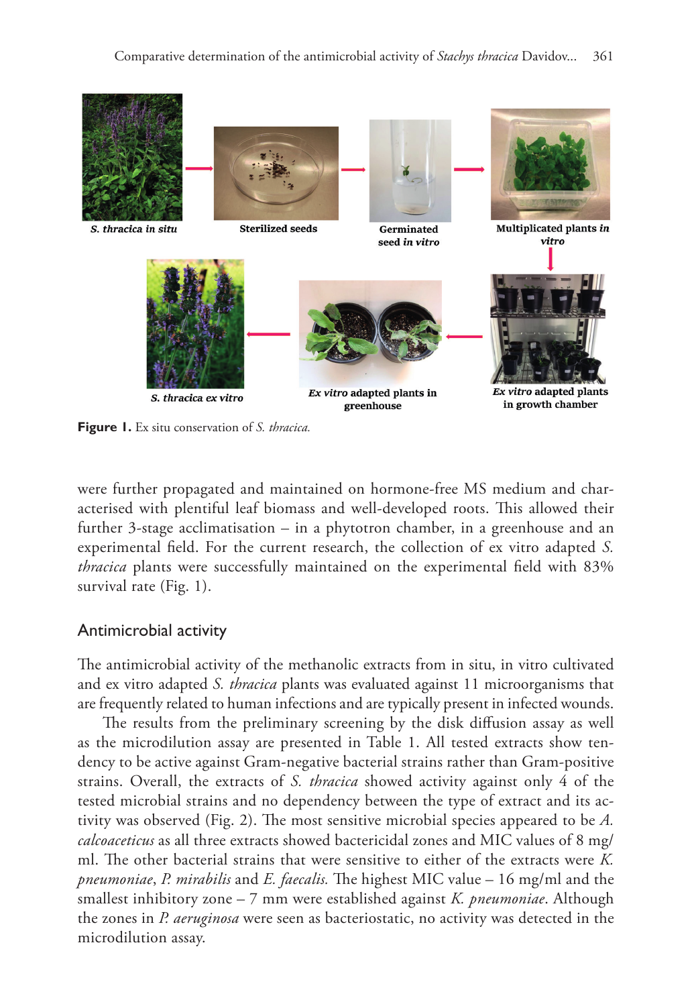

**Figure 1.** Ex situ conservation of *S. thracica.*

were further propagated and maintained on hormone-free MS medium and characterised with plentiful leaf biomass and well-developed roots. This allowed their further 3-stage acclimatisation – in a phytotron chamber, in a greenhouse and an experimental field. For the current research, the collection of ex vitro adapted *S. thracica* plants were successfully maintained on the experimental field with 83% survival rate (Fig. 1).

## Antimicrobial activity

The antimicrobial activity of the methanolic extracts from in situ, in vitro cultivated and ex vitro adapted *S. thracica* plants was evaluated against 11 microorganisms that are frequently related to human infections and are typically present in infected wounds.

The results from the preliminary screening by the disk diffusion assay as well as the microdilution assay are presented in Table 1. All tested extracts show tendency to be active against Gram-negative bacterial strains rather than Gram-positive strains. Overall, the extracts of *S. thracica* showed activity against only 4 of the tested microbial strains and no dependency between the type of extract and its activity was observed (Fig. 2). The most sensitive microbial species appeared to be *A. calcoaceticus* as all three extracts showed bactericidal zones and MIC values of 8 mg/ ml. The other bacterial strains that were sensitive to either of the extracts were *K. pneumoniae*, *P. mirabilis* and *E. faecalis.* The highest MIC value – 16 mg/ml and the smallest inhibitory zone – 7 mm were established against *K. pneumoniae*. Although the zones in *P. aeruginosa* were seen as bacteriostatic, no activity was detected in the microdilution assay.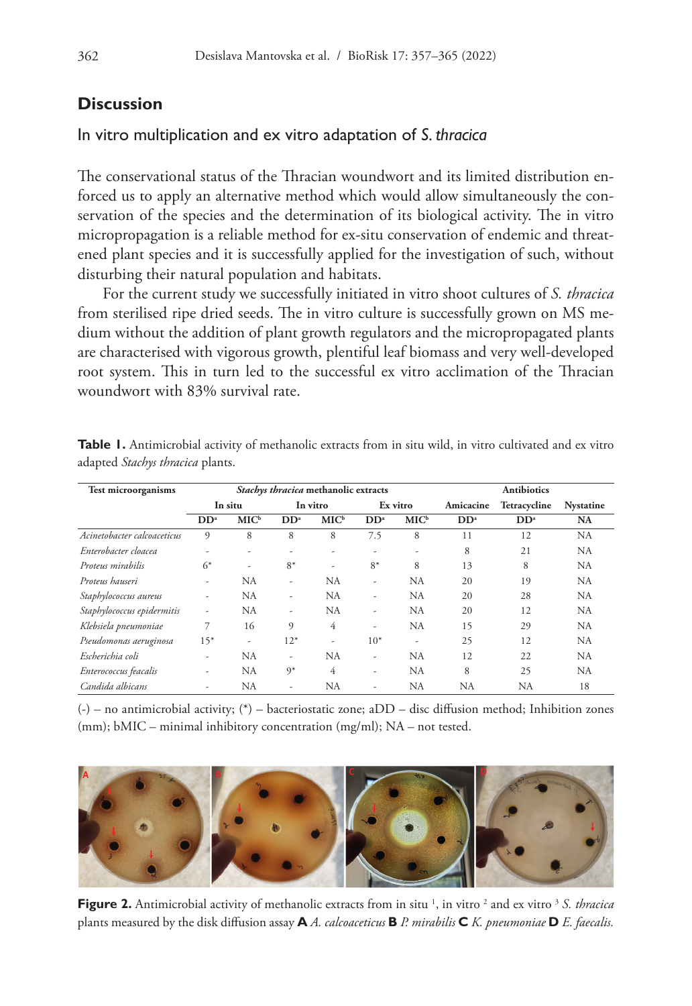## **Discussion**

#### In vitro multiplication and ex vitro adaptation of *S. thracica*

The conservational status of the Thracian woundwort and its limited distribution enforced us to apply an alternative method which would allow simultaneously the conservation of the species and the determination of its biological activity. The in vitro micropropagation is a reliable method for ex-situ conservation of endemic and threatened plant species and it is successfully applied for the investigation of such, without disturbing their natural population and habitats.

For the current study we successfully initiated in vitro shoot cultures of *S. thracica* from sterilised ripe dried seeds. The in vitro culture is successfully grown on MS medium without the addition of plant growth regulators and the micropropagated plants are characterised with vigorous growth, plentiful leaf biomass and very well-developed root system. This in turn led to the successful ex vitro acclimation of the Thracian woundwort with 83% survival rate.

| <b>Test microorganisms</b>  | Stachys thracica methanolic extracts |                  |                 |         |                 |         | <b>Antibiotics</b> |                 |                  |
|-----------------------------|--------------------------------------|------------------|-----------------|---------|-----------------|---------|--------------------|-----------------|------------------|
|                             | In situ                              |                  | In vitro        |         | Ex vitro        |         | Amicacine          | Tetracycline    | <b>Nystatine</b> |
|                             | DD <sup>a</sup>                      | MIC <sup>b</sup> | DD <sup>a</sup> | $MIC^b$ | DD <sup>a</sup> | $MIC^b$ | DD <sup>a</sup>    | DD <sup>a</sup> | <b>NA</b>        |
| Acinetobacter calcoaceticus | 9                                    | 8                | 8               | 8       | 7.5             | 8       | 11                 | 12              | NA               |
| Enterobacter cloacea        | ۰                                    |                  |                 |         | ٠               | ٠       | 8                  | 21              | <b>NA</b>        |
| Proteus mirabilis           | $6*$                                 | ٠                | $8*$            | ٠       | $8*$            | 8       | 13                 | 8               | <b>NA</b>        |
| Proteus hauseri             | ٠                                    | NA               | ۰               | NA      | ٠               | NA      | 20                 | 19              | <b>NA</b>        |
| Staphylococcus aureus       | ٠                                    | NA               | ۰               | NA      | ٠               | NA      | 20                 | 28              | <b>NA</b>        |
| Staphylococcus epidermitis  | ٠                                    | NA               | ۰               | NA      | ٠               | NA      | 20                 | 12              | <b>NA</b>        |
| Klebsiela pneumoniae        | 7                                    | 16               | 9               | 4       | ٠               | NA      | 15                 | 29              | <b>NA</b>        |
| Pseudomonas aeruginosa      | $15*$                                | ۰                | $12*$           | ٠       | $10*$           | ٠       | 25                 | 12              | <b>NA</b>        |
| Escherichia coli            | ٠                                    | <b>NA</b>        | ۰               | NA      | ٠               | NA      | 12                 | 22              | <b>NA</b>        |
| Enterococcus feacalis       | ٠                                    | <b>NA</b>        | $9*$            | 4       | ٠               | NA      | 8                  | 25              | <b>NA</b>        |
| Candida albicans            |                                      | NA               |                 | NA      | ٠               | NA      | <b>NA</b>          | NA              | 18               |

Table 1. Antimicrobial activity of methanolic extracts from in situ wild, in vitro cultivated and ex vitro adapted *Stachys thracica* plants.

(-) – no antimicrobial activity; (\*) – bacteriostatic zone; aDD – disc diffusion method; Inhibition zones (mm); bMIC – minimal inhibitory concentration (mg/ml); NA – not tested.



**Figure 2.** Antimicrobial activity of methanolic extracts from in situ <sup>1</sup>, in vitro <sup>2</sup> and ex vitro <sup>3</sup> S. thracica plants measured by the disk diffusion assay **A** *A. calcoaceticus* **B** *P. mirabilis* **C** *K. pneumoniae* **D** *E. faecalis.*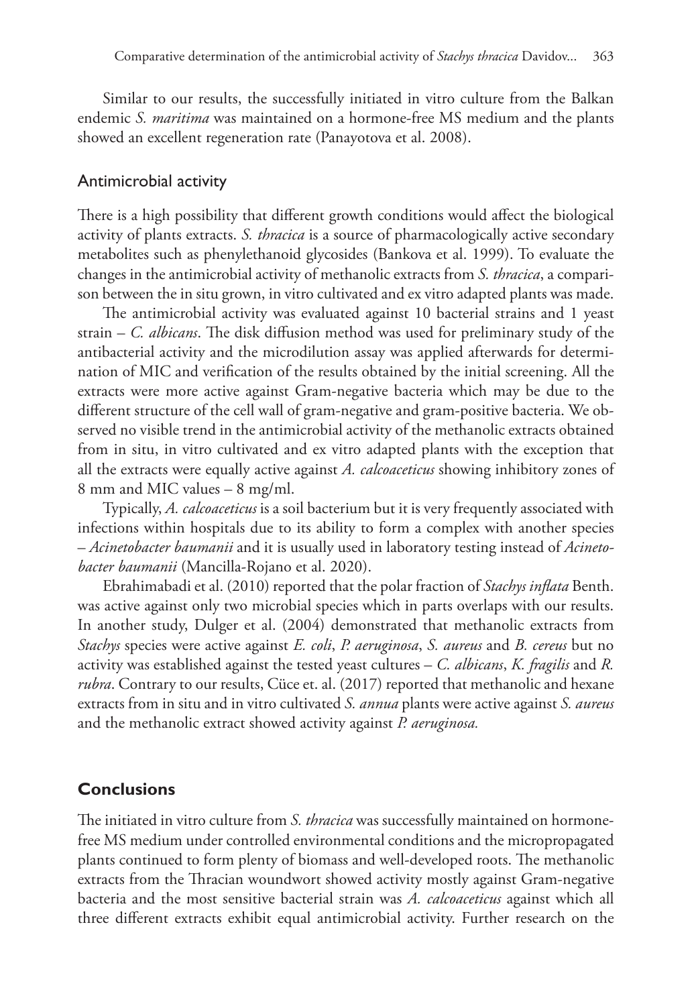Similar to our results, the successfully initiated in vitro culture from the Balkan endemic *S. maritima* was maintained on a hormone-free MS medium and the plants showed an excellent regeneration rate (Panayotova et al. 2008).

#### Antimicrobial activity

There is a high possibility that different growth conditions would affect the biological activity of plants extracts. *S. thracica* is a source of pharmacologically active secondary metabolites such as phenylethanoid glycosides (Bankova et al. 1999). To evaluate the changes in the antimicrobial activity of methanolic extracts from *S. thracica*, a comparison between the in situ grown, in vitro cultivated and ex vitro adapted plants was made.

The antimicrobial activity was evaluated against 10 bacterial strains and 1 yeast strain – *C. albicans*. The disk diffusion method was used for preliminary study of the antibacterial activity and the microdilution assay was applied afterwards for determination of MIC and verification of the results obtained by the initial screening. All the extracts were more active against Gram-negative bacteria which may be due to the different structure of the cell wall of gram-negative and gram-positive bacteria. We observed no visible trend in the antimicrobial activity of the methanolic extracts obtained from in situ, in vitro cultivated and ex vitro adapted plants with the exception that all the extracts were equally active against *A. calcoaceticus* showing inhibitory zones of 8 mm and MIC values – 8 mg/ml.

Typically, *A. calcoaceticus* is a soil bacterium but it is very frequently associated with infections within hospitals due to its ability to form a complex with another species – *Acinetobacter baumanii* and it is usually used in laboratory testing instead of *Acinetobacter baumanii* (Mancilla-Rojano et al. 2020).

Ebrahimabadi et al. (2010) reported that the polar fraction of *Stachys inflata* Benth. was active against only two microbial species which in parts overlaps with our results. In another study, Dulger et al. (2004) demonstrated that methanolic extracts from *Stachys* species were active against *E. coli*, *P. aeruginosa*, *S. aureus* and *B. cereus* but no activity was established against the tested yeast cultures – *C. albicans*, *K. fragilis* and *R. rubra*. Contrary to our results, Cüce et. al. (2017) reported that methanolic and hexane extracts from in situ and in vitro cultivated *S. annua* plants were active against *S. aureus* and the methanolic extract showed activity against *P. aeruginosa.*

## **Conclusions**

The initiated in vitro culture from *S. thracica* was successfully maintained on hormonefree MS medium under controlled environmental conditions and the micropropagated plants continued to form plenty of biomass and well-developed roots. The methanolic extracts from the Thracian woundwort showed activity mostly against Gram-negative bacteria and the most sensitive bacterial strain was *A. calcoaceticus* against which all three different extracts exhibit equal antimicrobial activity. Further research on the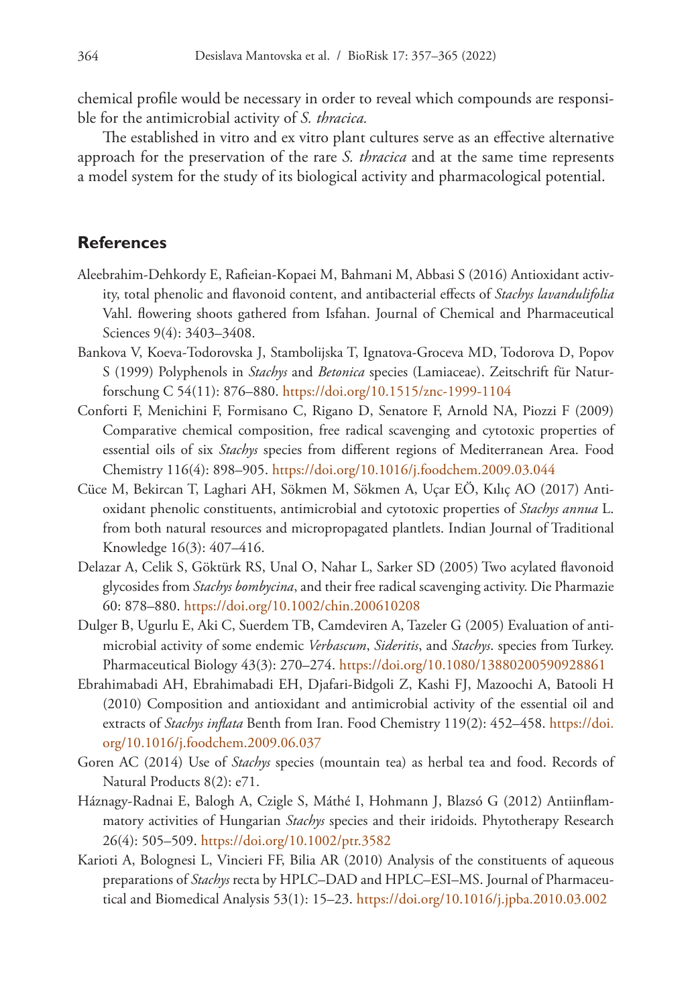chemical profile would be necessary in order to reveal which compounds are responsible for the antimicrobial activity of *S. thracica.*

The established in vitro and ex vitro plant cultures serve as an effective alternative approach for the preservation of the rare *S. thracica* and at the same time represents a model system for the study of its biological activity and pharmacological potential.

## **References**

- Aleebrahim-Dehkordy E, Rafieian-Kopaei M, Bahmani M, Abbasi S (2016) Antioxidant activity, total phenolic and flavonoid content, and antibacterial effects of *Stachys lavandulifolia* Vahl. flowering shoots gathered from Isfahan. Journal of Chemical and Pharmaceutical Sciences 9(4): 3403-3408.
- Bankova V, Koeva-Todorovska J, Stambolijska T, Ignatova-Groceva MD, Todorova D, Popov S (1999) Polyphenols in *Stachys* and *Betonica* species (Lamiaceae). Zeitschrift für Naturforschung C 54(11): 876–880.<https://doi.org/10.1515/znc-1999-1104>
- Conforti F, Menichini F, Formisano C, Rigano D, Senatore F, Arnold NA, Piozzi F (2009) Comparative chemical composition, free radical scavenging and cytotoxic properties of essential oils of six *Stachys* species from different regions of Mediterranean Area. Food Chemistry 116(4): 898–905.<https://doi.org/10.1016/j.foodchem.2009.03.044>
- Cüce M, Bekircan T, Laghari AH, Sökmen M, Sökmen A, Uçar EÖ, Kılıç AO (2017) Antioxidant phenolic constituents, antimicrobial and cytotoxic properties of *Stachys annua* L. from both natural resources and micropropagated plantlets. Indian Journal of Traditional Knowledge 16(3): 407–416.
- Delazar A, Celik S, Göktürk RS, Unal O, Nahar L, Sarker SD (2005) Two acylated flavonoid glycosides from *Stachys bombycina*, and their free radical scavenging activity. Die Pharmazie 60: 878–880.<https://doi.org/10.1002/chin.200610208>
- Dulger B, Ugurlu E, Aki C, Suerdem TB, Camdeviren A, Tazeler G (2005) Evaluation of antimicrobial activity of some endemic *Verbascum*, *Sideritis*, and *Stachys*. species from Turkey. Pharmaceutical Biology 43(3): 270–274.<https://doi.org/10.1080/13880200590928861>
- Ebrahimabadi AH, Ebrahimabadi EH, Djafari-Bidgoli Z, Kashi FJ, Mazoochi A, Batooli H (2010) Composition and antioxidant and antimicrobial activity of the essential oil and extracts of *Stachys inflata* Benth from Iran. Food Chemistry 119(2): 452–458. [https://doi.](https://doi.org/10.1016/j.foodchem.2009.06.037) [org/10.1016/j.foodchem.2009.06.037](https://doi.org/10.1016/j.foodchem.2009.06.037)
- Goren AC (2014) Use of *Stachys* species (mountain tea) as herbal tea and food. Records of Natural Products 8(2): e71.
- Háznagy-Radnai E, Balogh A, Czigle S, Máthé I, Hohmann J, Blazsó G (2012) Antiinflammatory activities of Hungarian *Stachys* species and their iridoids. Phytotherapy Research 26(4): 505–509. <https://doi.org/10.1002/ptr.3582>
- Karioti A, Bolognesi L, Vincieri FF, Bilia AR (2010) Analysis of the constituents of aqueous preparations of *Stachys* recta by HPLC–DAD and HPLC–ESI–MS. Journal of Pharmaceutical and Biomedical Analysis 53(1): 15–23.<https://doi.org/10.1016/j.jpba.2010.03.002>